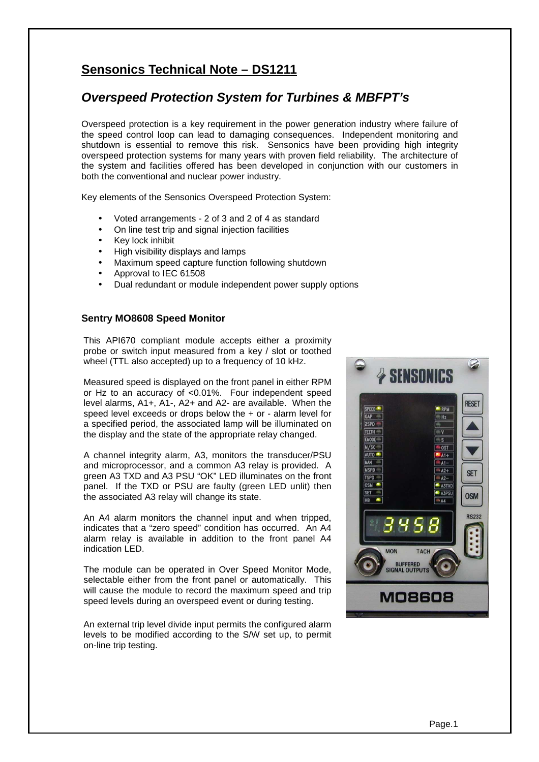# **Sensonics Technical Note – DS1211**

# **Overspeed Protection System for Turbines & MBFPT's**

Overspeed protection is a key requirement in the power generation industry where failure of the speed control loop can lead to damaging consequences. Independent monitoring and shutdown is essential to remove this risk. Sensonics have been providing high integrity overspeed protection systems for many years with proven field reliability. The architecture of the system and facilities offered has been developed in conjunction with our customers in both the conventional and nuclear power industry.

Key elements of the Sensonics Overspeed Protection System:

- Voted arrangements 2 of 3 and 2 of 4 as standard
- On line test trip and signal injection facilities
- Key lock inhibit
- High visibility displays and lamps
- Maximum speed capture function following shutdown
- Approval to IEC 61508
- Dual redundant or module independent power supply options

## **Sentry MO8608 Speed Monitor**

This API670 compliant module accepts either a proximity probe or switch input measured from a key / slot or toothed wheel (TTL also accepted) up to a frequency of 10 kHz.

Measured speed is displayed on the front panel in either RPM or Hz to an accuracy of <0.01%. Four independent speed level alarms, A1+, A1-, A2+ and A2- are available. When the speed level exceeds or drops below the + or - alarm level for a specified period, the associated lamp will be illuminated on the display and the state of the appropriate relay changed.

A channel integrity alarm, A3, monitors the transducer/PSU and microprocessor, and a common A3 relay is provided. A green A3 TXD and A3 PSU "OK" LED illuminates on the front panel. If the TXD or PSU are faulty (green LED unlit) then the associated A3 relay will change its state.

An A4 alarm monitors the channel input and when tripped, indicates that a "zero speed" condition has occurred. An A4 alarm relay is available in addition to the front panel A4 indication LED.

The module can be operated in Over Speed Monitor Mode, selectable either from the front panel or automatically. This will cause the module to record the maximum speed and trip speed levels during an overspeed event or during testing.

An external trip level divide input permits the configured alarm levels to be modified according to the S/W set up, to permit on-line trip testing.

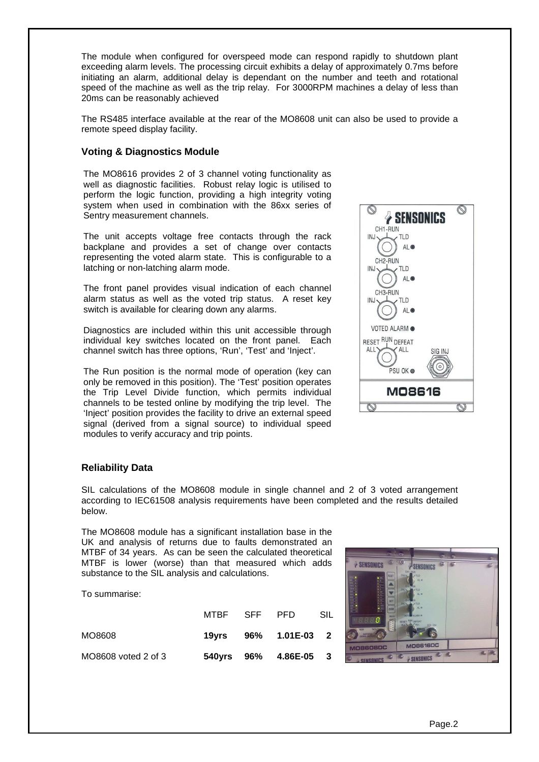The module when configured for overspeed mode can respond rapidly to shutdown plant exceeding alarm levels. The processing circuit exhibits a delay of approximately 0.7ms before initiating an alarm, additional delay is dependant on the number and teeth and rotational speed of the machine as well as the trip relay. For 3000RPM machines a delay of less than 20ms can be reasonably achieved

The RS485 interface available at the rear of the MO8608 unit can also be used to provide a remote speed display facility.

#### **Voting & Diagnostics Module**

The MO8616 provides 2 of 3 channel voting functionality as well as diagnostic facilities. Robust relay logic is utilised to perform the logic function, providing a high integrity voting system when used in combination with the 86xx series of Sentry measurement channels.

The unit accepts voltage free contacts through the rack backplane and provides a set of change over contacts representing the voted alarm state. This is configurable to a latching or non-latching alarm mode.

The front panel provides visual indication of each channel alarm status as well as the voted trip status. A reset key switch is available for clearing down any alarms.

Diagnostics are included within this unit accessible through individual key switches located on the front panel. Each channel switch has three options, 'Run', 'Test' and 'Inject'.

The Run position is the normal mode of operation (key can only be removed in this position). The 'Test' position operates the Trip Level Divide function, which permits individual channels to be tested online by modifying the trip level. The 'Inject' position provides the facility to drive an external speed signal (derived from a signal source) to individual speed modules to verify accuracy and trip points.



#### **Reliability Data**

SIL calculations of the MO8608 module in single channel and 2 of 3 voted arrangement according to IEC61508 analysis requirements have been completed and the results detailed below.

The MO8608 module has a significant installation base in the UK and analysis of returns due to faults demonstrated an MTBF of 34 years. As can be seen the calculated theoretical MTBF is lower (worse) than that measured which adds substance to the SIL analysis and calculations.

To summarise:

|                     | MTBF SFF PFD |                       | SIL |
|---------------------|--------------|-----------------------|-----|
| MO8608              |              | 19yrs 96% 1.01E-03 2  |     |
| MO8608 voted 2 of 3 |              | 540yrs 96% 4.86E-05 3 |     |

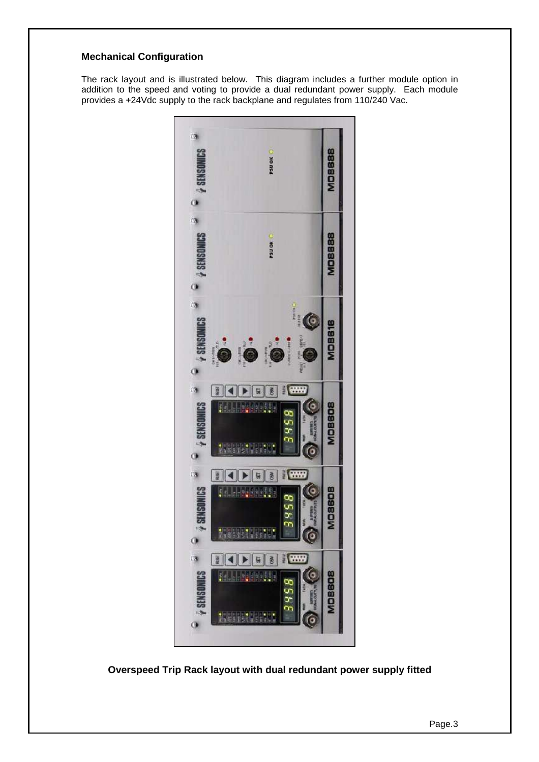# **Mechanical Configuration**

The rack layout and is illustrated below. This diagram includes a further module option in addition to the speed and voting to provide a dual redundant power supply. Each module provides a +24Vdc supply to the rack backplane and regulates from 110/240 Vac.